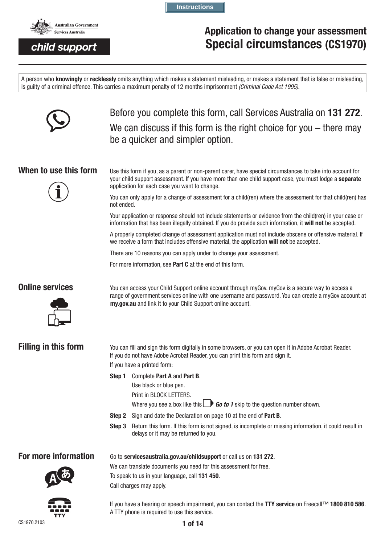

# **Application to change your assessment Special circumstances (CS1970)**

A person who **knowingly** or **recklessly** omits anything which makes a statement misleading, or makes a statement that is false or misleading, is guilty of a criminal offence. This carries a maximum penalty of 12 months imprisonment *(Criminal Code Act 1995).*

**Instructions**



Before you complete this form, call Services Australia on **131 272**. We can discuss if this form is the right choice for you – there may be a quicker and simpler option.



**When to use this form** Use this form if you, as a parent or non-parent carer, have special circumstances to take into account for your child support assessment. If you have more than one child support case, you must lodge a **separate** application for each case you want to change.

> You can only apply for a change of assessment for a child(ren) where the assessment for that child(ren) has not ended.

Your application or response should not include statements or evidence from the child(ren) in your case or information that has been illegally obtained. If you do provide such information, it **will not** be accepted.

A properly completed change of assessment application must not include obscene or offensive material. If we receive a form that includes offensive material, the application **will not** be accepted.

There are 10 reasons you can apply under to change your assessment.

For more information, see **Part C** at the end of this form.



**Online services** You can access your Child Support online account through myGov. myGov is a secure way to access a range of government services online with one username and password. You can create a myGov account at **my.gov.au** and link it to your Child Support online account.

**Filling in this form** You can fill and sign this form digitally in some browsers, or you can open it in Adobe Acrobat Reader. If you do not have Adobe Acrobat Reader, you can print this form and sign it. If you have a printed form:

- **Step 1** Complete **Part A** and **Part B**.
	- Use black or blue pen.
	- Print in BLOCK LETTERS.
	- Where you see a box like this  $\Box$  **Go to 1** skip to the question number shown.
- **Step 2** Sign and date the Declaration on page 10 at the end of **Part B**.
- **Step 3** Return this form. If this form is not signed, is incomplete or missing information, it could result in delays or it may be returned to you.

**For more information** Go to servicesaustralia.gov.au/childsupport or call us on 131 272.

We can translate documents you need for this assessment for free.

To speak to us in your language, call **131 450**.

Call charges may apply.



If you have a hearing or speech impairment, you can contact the **TTY service** on Freecall™ **1800 810 586**. A TTY phone is required to use this service.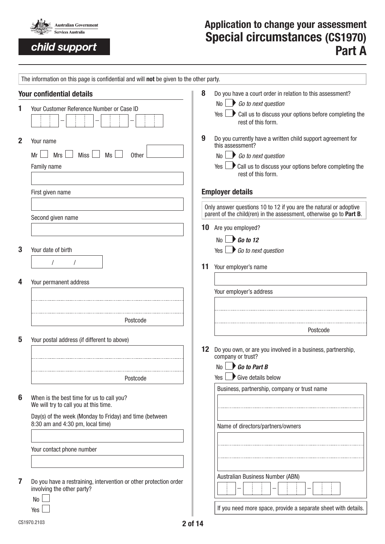

# **Application to change your assessment Special circumstances (CS1970) Part A**

|              | The information on this page is confidential and will not be given to the other party.          |                 |                                                                                                                                          |
|--------------|-------------------------------------------------------------------------------------------------|-----------------|------------------------------------------------------------------------------------------------------------------------------------------|
|              | <b>Your confidential details</b>                                                                | 8               | Do you have a court order in relation to this assessment?                                                                                |
|              | Your Customer Reference Number or Case ID                                                       |                 | $\mathsf{No}$ Go to next question                                                                                                        |
|              |                                                                                                 |                 | $Yes \nightharpoonup$ Call us to discuss your options before completing the<br>rest of this form.                                        |
| $\mathbf{2}$ | Your name                                                                                       | 9               | Do you currently have a written child support agreement for<br>this assessment?                                                          |
|              | Miss <sup>1</sup><br><b>Mrs</b><br>Ms<br>Mr<br><b>Other</b>                                     |                 | $No \rightarrow Go$ to next question                                                                                                     |
|              | Family name                                                                                     |                 | rest of this form.                                                                                                                       |
|              | First given name                                                                                |                 | <b>Employer details</b>                                                                                                                  |
|              | Second given name                                                                               |                 | Only answer questions 10 to 12 if you are the natural or adoptive<br>parent of the child(ren) in the assessment, otherwise go to Part B. |
|              |                                                                                                 |                 | 10 Are you employed?                                                                                                                     |
|              |                                                                                                 |                 | $\mathbb{N}_0$ $\rightarrow$ Go to 12                                                                                                    |
| 3            | Your date of birth                                                                              |                 | Yes $\Box$ Go to next question                                                                                                           |
|              | $\sqrt{2}$                                                                                      |                 |                                                                                                                                          |
|              |                                                                                                 | 11              | Your employer's name                                                                                                                     |
| 4            | Your permanent address                                                                          |                 |                                                                                                                                          |
|              |                                                                                                 |                 | Your employer's address                                                                                                                  |
|              |                                                                                                 |                 |                                                                                                                                          |
|              | Postcode                                                                                        |                 |                                                                                                                                          |
|              |                                                                                                 |                 | Postcode                                                                                                                                 |
| 5            | Your postal address (if different to above)                                                     |                 |                                                                                                                                          |
|              |                                                                                                 | 12 <sup>°</sup> | Do you own, or are you involved in a business, partnership,<br>company or trust?                                                         |
|              |                                                                                                 |                 | $No \rightharpoonup$ Go to Part B                                                                                                        |
|              | Postcode                                                                                        |                 | Give details below<br>Yes                                                                                                                |
|              |                                                                                                 |                 | Business, partnership, company or trust name                                                                                             |
| 6            | When is the best time for us to call you?<br>We will try to call you at this time.              |                 |                                                                                                                                          |
|              | Day(s) of the week (Monday to Friday) and time (between                                         |                 |                                                                                                                                          |
|              | 8:30 am and 4:30 pm, local time)                                                                |                 | Name of directors/partners/owners                                                                                                        |
|              |                                                                                                 |                 |                                                                                                                                          |
|              | Your contact phone number                                                                       |                 |                                                                                                                                          |
|              |                                                                                                 |                 |                                                                                                                                          |
|              |                                                                                                 |                 |                                                                                                                                          |
| 7            | Do you have a restraining, intervention or other protection order<br>involving the other party? |                 | Australian Business Number (ABN)                                                                                                         |
|              | No                                                                                              |                 |                                                                                                                                          |
|              | Yes                                                                                             |                 | If you need more space, provide a separate sheet with details.                                                                           |
|              | CS1970.2103<br>2 of 14                                                                          |                 |                                                                                                                                          |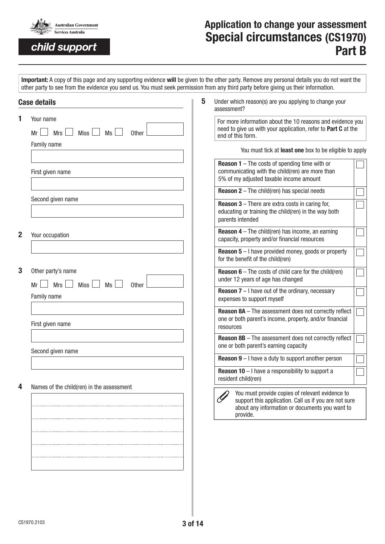

# **Application to change your assessment Special circumstances (CS1970) Part B**

**Important:** A copy of this page and any supporting evidence **will** be given to the other party. Remove any personal details you do not want the other party to see from the evidence you send us. You must seek permission from any third party before giving us their information.

|             | 5<br><b>Case details</b>                                             | Under which reason(s) are you applying to change your<br>assessment?                                                                                                   |  |
|-------------|----------------------------------------------------------------------|------------------------------------------------------------------------------------------------------------------------------------------------------------------------|--|
| 1           | Your name<br>Ms<br><b>Mrs</b><br><b>Miss</b><br>Other<br>Mr          | For more information about the 10 reasons and evidence you<br>need to give us with your application, refer to Part C at the<br>end of this form.                       |  |
|             | Family name                                                          | You must tick at least one box to be eligible to apply                                                                                                                 |  |
|             | First given name                                                     | <b>Reason 1</b> $-$ The costs of spending time with or<br>communicating with the child(ren) are more than<br>5% of my adjusted taxable income amount                   |  |
|             |                                                                      | <b>Reason 2</b> $-$ The child(ren) has special needs                                                                                                                   |  |
|             | Second given name                                                    | <b>Reason 3</b> $-$ There are extra costs in caring for,<br>educating or training the child(ren) in the way both<br>parents intended                                   |  |
| $\mathbf 2$ | Your occupation                                                      | <b>Reason 4</b> – The child(ren) has income, an earning<br>capacity, property and/or financial resources                                                               |  |
|             |                                                                      | <b>Reason 5</b> $-$ I have provided money, goods or property<br>for the benefit of the child(ren)                                                                      |  |
| 3           | Other party's name<br>Mrs<br><b>Miss</b><br>Ms<br>Mr<br><b>Other</b> | <b>Reason 6</b> – The costs of child care for the child(ren)<br>under 12 years of age has changed                                                                      |  |
|             | Family name                                                          | <b>Reason 7</b> $-$ I have out of the ordinary, necessary<br>expenses to support myself                                                                                |  |
|             | First given name                                                     | <b>Reason 8A</b> - The assessment does not correctly reflect<br>one or both parent's income, property, and/or financial<br>resources                                   |  |
|             | Second given name                                                    | <b>Reason 8B</b> - The assessment does not correctly reflect<br>one or both parent's earning capacity                                                                  |  |
|             |                                                                      | <b>Reason 9</b> $-$ I have a duty to support another person                                                                                                            |  |
|             |                                                                      | <b>Reason 10</b> $-$ I have a responsibility to support a<br>resident child(ren)                                                                                       |  |
| 4           | Names of the child(ren) in the assessment                            | You must provide copies of relevant evidence to<br>support this application. Call us if you are not sure<br>about any information or documents you want to<br>provide. |  |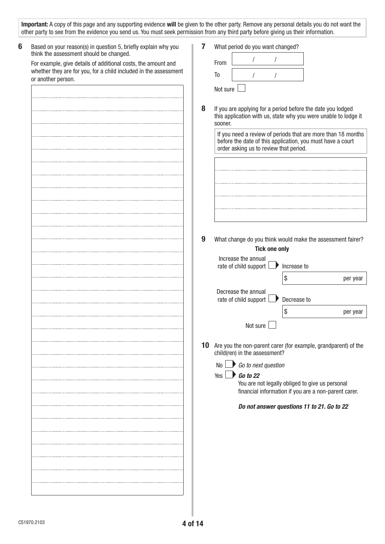| 6<br>Based on your reason(s) in question 5, briefly explain why you                                      | 7 | What period do you want changed?                                       |                                                            |   |             |                                                                                                                                 |
|----------------------------------------------------------------------------------------------------------|---|------------------------------------------------------------------------|------------------------------------------------------------|---|-------------|---------------------------------------------------------------------------------------------------------------------------------|
| think the assessment should be changed.<br>For example, give details of additional costs, the amount and |   | From                                                                   |                                                            |   |             |                                                                                                                                 |
| whether they are for you, for a child included in the assessment                                         |   | T <sub>0</sub>                                                         |                                                            |   |             |                                                                                                                                 |
| or another person.                                                                                       |   |                                                                        |                                                            |   |             |                                                                                                                                 |
|                                                                                                          |   | Not sure                                                               |                                                            |   |             |                                                                                                                                 |
|                                                                                                          | 8 | If you are applying for a period before the date you lodged<br>sooner. | before the date of this application, you must have a court |   |             | this application with us, state why you were unable to lodge it<br>If you need a review of periods that are more than 18 months |
|                                                                                                          |   |                                                                        | order asking us to review that period.                     |   |             |                                                                                                                                 |
|                                                                                                          |   |                                                                        |                                                            |   |             |                                                                                                                                 |
|                                                                                                          |   |                                                                        |                                                            |   |             |                                                                                                                                 |
|                                                                                                          |   |                                                                        |                                                            |   |             |                                                                                                                                 |
|                                                                                                          |   |                                                                        |                                                            |   |             |                                                                                                                                 |
|                                                                                                          |   |                                                                        |                                                            |   |             |                                                                                                                                 |
|                                                                                                          |   |                                                                        |                                                            |   |             |                                                                                                                                 |
|                                                                                                          | 9 |                                                                        |                                                            |   |             | What change do you think would make the assessment fairer?                                                                      |
|                                                                                                          |   |                                                                        | <b>Tick one only</b>                                       |   |             |                                                                                                                                 |
|                                                                                                          |   | Increase the annual                                                    |                                                            |   |             |                                                                                                                                 |
|                                                                                                          |   |                                                                        | rate of child support L                                    | ₽ | Increase to |                                                                                                                                 |
|                                                                                                          |   |                                                                        |                                                            |   | \$          | per year                                                                                                                        |
|                                                                                                          |   | Decrease the annual                                                    | rate of child support                                      |   | Decrease to |                                                                                                                                 |
|                                                                                                          |   |                                                                        |                                                            |   | \$          | per year                                                                                                                        |
|                                                                                                          |   |                                                                        |                                                            |   |             |                                                                                                                                 |
|                                                                                                          |   |                                                                        | Not sure                                                   |   |             |                                                                                                                                 |
|                                                                                                          |   | child(ren) in the assessment?                                          |                                                            |   |             | 10 Are you the non-parent carer (for example, grandparent) of the                                                               |
|                                                                                                          |   | No                                                                     | $\rightarrow$ Go to next question                          |   |             |                                                                                                                                 |
|                                                                                                          |   | Yes I                                                                  | <b>Go to 22</b>                                            |   |             |                                                                                                                                 |
|                                                                                                          |   |                                                                        | You are not legally obliged to give us personal            |   |             |                                                                                                                                 |
|                                                                                                          |   |                                                                        |                                                            |   |             | financial information if you are a non-parent carer.                                                                            |
|                                                                                                          |   |                                                                        | Do not answer questions 11 to 21. Go to 22                 |   |             |                                                                                                                                 |
|                                                                                                          |   |                                                                        |                                                            |   |             |                                                                                                                                 |
|                                                                                                          |   |                                                                        |                                                            |   |             |                                                                                                                                 |
|                                                                                                          |   |                                                                        |                                                            |   |             |                                                                                                                                 |
|                                                                                                          |   |                                                                        |                                                            |   |             |                                                                                                                                 |
|                                                                                                          |   |                                                                        |                                                            |   |             |                                                                                                                                 |
|                                                                                                          |   |                                                                        |                                                            |   |             |                                                                                                                                 |
|                                                                                                          |   |                                                                        |                                                            |   |             |                                                                                                                                 |
|                                                                                                          |   |                                                                        |                                                            |   |             |                                                                                                                                 |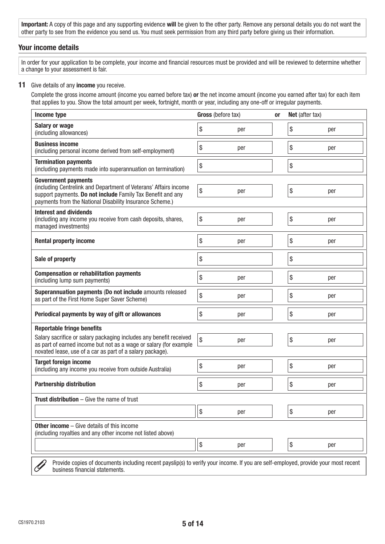### **Your income details**

In order for your application to be complete, your income and financial resources must be provided and will be reviewed to determine whether a change to your assessment is fair.

#### **11** Give details of any **income** you receive.

Complete the gross income amount (income you earned before tax) **or** the net income amount (income you earned after tax) for each item that applies to you. Show the total amount per week, fortnight, month or year, including any one-off or irregular payments.

| Income type                                                                                                                                                                                                               | Gross (before tax) |     | 0r | Net (after tax) |     |  |
|---------------------------------------------------------------------------------------------------------------------------------------------------------------------------------------------------------------------------|--------------------|-----|----|-----------------|-----|--|
| <b>Salary or wage</b><br>(including allowances)                                                                                                                                                                           | \$                 | per |    | \$              | per |  |
| <b>Business income</b><br>(including personal income derived from self-employment)                                                                                                                                        | \$                 | per |    | \$              | per |  |
| <b>Termination payments</b><br>(including payments made into superannuation on termination)                                                                                                                               | \$                 |     |    | \$              |     |  |
| <b>Government payments</b><br>(including Centrelink and Department of Veterans' Affairs income<br>support payments. Do not include Family Tax Benefit and any<br>payments from the National Disability Insurance Scheme.) | \$                 | per |    | \$              | per |  |
| <b>Interest and dividends</b><br>(including any income you receive from cash deposits, shares,<br>managed investments)                                                                                                    | \$                 | per |    | \$              | per |  |
| <b>Rental property income</b>                                                                                                                                                                                             | \$                 | per |    | \$              | per |  |
| Sale of property                                                                                                                                                                                                          | \$                 |     |    | \$              |     |  |
| <b>Compensation or rehabilitation payments</b><br>(including lump sum payments)                                                                                                                                           | \$                 | per |    | \$              | per |  |
| Superannuation payments (Do not include amounts released<br>as part of the First Home Super Saver Scheme)                                                                                                                 | \$                 | per |    | \$              | per |  |
| Periodical payments by way of gift or allowances                                                                                                                                                                          | \$                 | per |    | \$              | per |  |
| <b>Reportable fringe benefits</b>                                                                                                                                                                                         |                    |     |    |                 |     |  |
| Salary sacrifice or salary packaging includes any benefit received<br>as part of earned income but not as a wage or salary (for example                                                                                   | \$                 | per |    | \$              | per |  |
| novated lease, use of a car as part of a salary package).                                                                                                                                                                 |                    |     |    |                 |     |  |
| <b>Target foreign income</b><br>(including any income you receive from outside Australia)                                                                                                                                 | \$                 | per |    | \$              | per |  |
| <b>Partnership distribution</b>                                                                                                                                                                                           | \$                 | per |    | \$              | per |  |
| <b>Trust distribution</b> $-$ Give the name of trust                                                                                                                                                                      |                    |     |    |                 |     |  |
|                                                                                                                                                                                                                           | \$                 | per |    | \$              | per |  |
| <b>Other income</b> $-$ Give details of this income<br>(including royalties and any other income not listed above)                                                                                                        |                    |     |    |                 |     |  |
|                                                                                                                                                                                                                           | \$                 | per |    | \$              | per |  |
| Provide copies of documents including recent payslip(s) to verify your income. If you are self-employed, provide your most recent<br>business financial statements.                                                       |                    |     |    |                 |     |  |

business financial statements.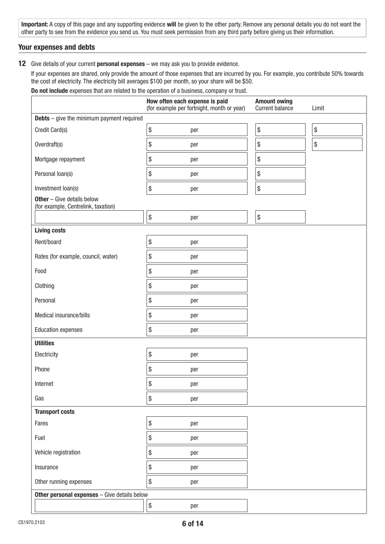### **Your expenses and debts**

#### **12** Give details of your current **personal expenses** – we may ask you to provide evidence.

If your expenses are shared, only provide the amount of those expenses that are incurred by you. For example, you contribute 50% towards the cost of electricity. The electricity bill averages \$100 per month, so your share will be \$50.

**Do not include** expenses that are related to the operation of a business, company or trust.

|                                                                          | <b>Amount owing</b><br>Current balance           | Limit                                     |    |
|--------------------------------------------------------------------------|--------------------------------------------------|-------------------------------------------|----|
| <b>Debts</b> $-$ give the minimum payment required                       |                                                  |                                           |    |
| Credit Card(s)                                                           | \$<br>per                                        | $\, \, \raisebox{12pt}{$\scriptstyle \$}$ | \$ |
| Overdraft(s)                                                             | \$<br>per                                        | $\$\$                                     | \$ |
| Mortgage repayment                                                       | \$<br>per                                        | $\$$                                      |    |
| Personal loan(s)                                                         | \$<br>per                                        | \$                                        |    |
| Investment loan(s)                                                       | \$<br>per                                        | $\,$                                      |    |
| <b>Other</b> - Give details below<br>(for example, Centrelink, taxation) |                                                  |                                           |    |
|                                                                          | $\, \, \raisebox{12pt}{$\scriptstyle \$}$<br>per | $\$$                                      |    |
| <b>Living costs</b>                                                      |                                                  |                                           |    |
| Rent/board                                                               | \$<br>per                                        |                                           |    |
| Rates (for example, council, water)                                      | \$<br>per                                        |                                           |    |
| Food                                                                     | \$<br>per                                        |                                           |    |
| Clothing                                                                 | \$<br>per                                        |                                           |    |
| Personal                                                                 | \$<br>per                                        |                                           |    |
| Medical insurance/bills                                                  | \$<br>per                                        |                                           |    |
| <b>Education expenses</b>                                                | \$<br>per                                        |                                           |    |
| <b>Utilities</b>                                                         |                                                  |                                           |    |
| Electricity                                                              | \$<br>per                                        |                                           |    |
| Phone                                                                    | \$<br>per                                        |                                           |    |
| Internet                                                                 | \$<br>per                                        |                                           |    |
| Gas                                                                      | \$<br>per                                        |                                           |    |
| <b>Transport costs</b>                                                   |                                                  |                                           |    |
| Fares                                                                    | \$<br>per                                        |                                           |    |
| Fuel                                                                     | \$<br>per                                        |                                           |    |
| Vehicle registration                                                     | \$<br>per                                        |                                           |    |
| Insurance                                                                | \$<br>per                                        |                                           |    |
| Other running expenses                                                   | \$<br>per                                        |                                           |    |
| <b>Other personal expenses</b> - Give details below                      |                                                  |                                           |    |
|                                                                          | \$<br>per                                        |                                           |    |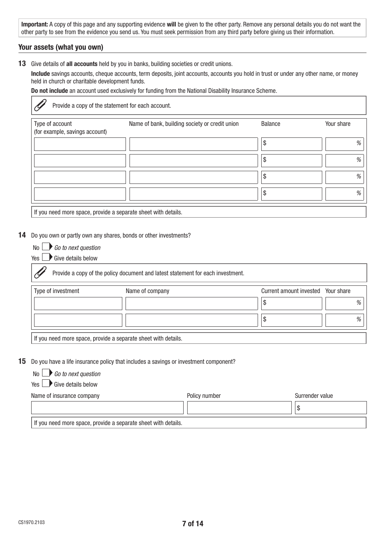### **Your assets (what you own)**

Ç

**13** Give details of **all accounts** held by you in banks, building societies or credit unions.

**Include** savings accounts, cheque accounts, term deposits, joint accounts, accounts you hold in trust or under any other name, or money held in church or charitable development funds.

**Do not include** an account used exclusively for funding from the National Disability Insurance Scheme.

Provide a copy of the statement for each account.

| Type of account<br>(for example, savings account)             | Name of bank, building society or credit union | <b>Balance</b> | Your share |
|---------------------------------------------------------------|------------------------------------------------|----------------|------------|
|                                                               |                                                | \$             | %          |
|                                                               |                                                | \$             | %          |
|                                                               |                                                | ᡘ<br>Φ         | $\%$       |
|                                                               |                                                | S              | %          |
| If you need more space, provide a separate sheet with details |                                                |                |            |

 $\parallel$  if you need more space, provide a separate sheet with details.

#### **14** Do you own or partly own any shares, bonds or other investments?

| No L |  |  | $\blacksquare$ Go to next question |
|------|--|--|------------------------------------|
|------|--|--|------------------------------------|

 $Yes \rightarrow Give details below$ 

Provide a copy of the policy document and latest statement for each investment.

| Type of investment | Name of company                                                | Current amount invested Your share |   |
|--------------------|----------------------------------------------------------------|------------------------------------|---|
|                    |                                                                |                                    | % |
|                    |                                                                |                                    | % |
|                    | If you need more space, provide a separate sheet with details. |                                    |   |

**15** Do you have a life insurance policy that includes a savings or investment component?

| No L | $\blacktriangleright$ Go to next question |
|------|-------------------------------------------|
|------|-------------------------------------------|

 $Yes \rightarrow Give details below$ 

| Name of insurance company                                      | Policy number | Surrender value |
|----------------------------------------------------------------|---------------|-----------------|
|                                                                |               |                 |
| If you need more space, provide a separate sheet with details. |               |                 |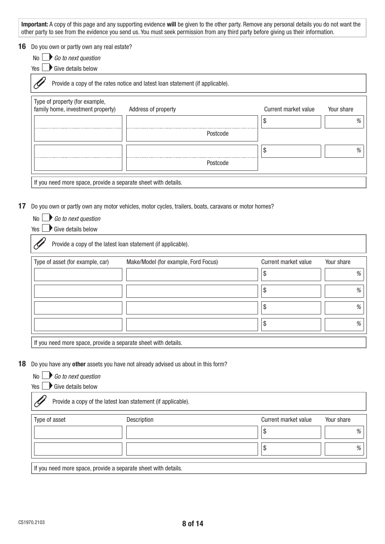**16** Do you own or partly own any real estate?

| No $\mathrel{\sqcup}$ |  |  | $\blacktriangleright$ Go to next question |
|-----------------------|--|--|-------------------------------------------|
|                       |  |  |                                           |

 $Yes \rightarrow Give details below$ 

No *Go to next question*

Provide a copy of the rates notice and latest loan statement (if applicable). P,

| Address of property |   | Your share                                  |
|---------------------|---|---------------------------------------------|
|                     | Œ |                                             |
|                     |   |                                             |
|                     |   |                                             |
|                     |   |                                             |
|                     |   | Current market value<br>Postcode<br>etcode. |

If you need more space, provide a separate sheet with details.

#### **17** Do you own or partly own any motor vehicles, motor cycles, trailers, boats, caravans or motor homes?

| Give details below<br>Yes                                      |                                                              |                      |            |
|----------------------------------------------------------------|--------------------------------------------------------------|----------------------|------------|
|                                                                | Provide a copy of the latest loan statement (if applicable). |                      |            |
| Type of asset (for example, car)                               | Make/Model (for example, Ford Focus)                         | Current market value | Your share |
|                                                                |                                                              | \$                   | %          |
|                                                                |                                                              | \$                   | %          |
|                                                                |                                                              | \$                   | %          |
|                                                                |                                                              | \$                   | %          |
| If you need more space, provide a separate sheet with details. |                                                              |                      |            |

#### **18** Do you have any **other** assets you have not already advised us about in this form?

| No L<br>$\blacktriangleright$ Go to next question |  |
|---------------------------------------------------|--|
|---------------------------------------------------|--|

 $Yes \rightarrow Give details below$ 

| Type of asset | Description | Current market value | Your share |
|---------------|-------------|----------------------|------------|
|               |             | \$                   | %          |
|               |             | \$                   | $\%$       |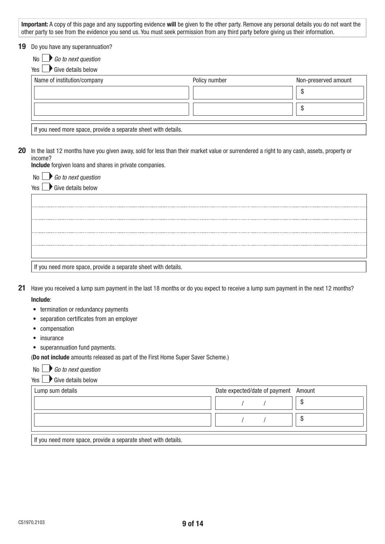#### **19** Do you have any superannuation?

 $Yes \rightarrow Give details below$ 

| Name of institution/company                                    | Policy number | Non-preserved amount |
|----------------------------------------------------------------|---------------|----------------------|
|                                                                |               |                      |
|                                                                |               | AD.                  |
| If you need more space, provide a separate sheet with details. |               |                      |

**20** In the last 12 months have you given away, sold for less than their market value or surrendered a right to any cash, assets, property or income?

**Include** forgiven loans and shares in private companies.

| No                                                             |
|----------------------------------------------------------------|
| $\Box$ Go to next question<br>Yes                              |
|                                                                |
|                                                                |
|                                                                |
|                                                                |
|                                                                |
|                                                                |
| If you need more space, provide a separate sheet with details. |

- **21** Have you received a lump sum payment in the last 18 months or do you expect to receive a lump sum payment in the next 12 months? **Include**:
	- termination or redundancy payments
	- separation certificates from an employer
	- compensation
	- insurance
	- superannuation fund payments.

(**Do not include** amounts released as part of the First Home Super Saver Scheme.)

No *Go to next question*

| Yes $\lfloor$ | $\blacksquare$ Give details below |  |
|---------------|-----------------------------------|--|
|---------------|-----------------------------------|--|

| Lump sum details | Date expected/date of payment Amount |  |
|------------------|--------------------------------------|--|
|                  |                                      |  |
|                  |                                      |  |
|                  |                                      |  |

If you need more space, provide a separate sheet with details.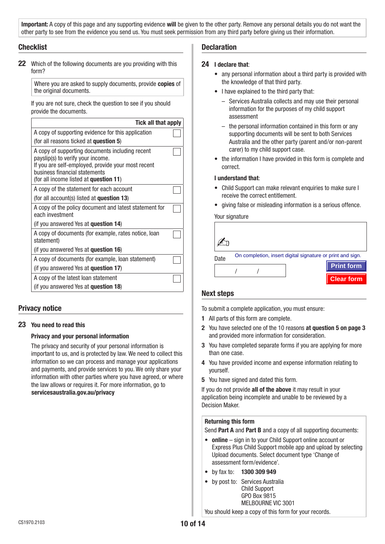### **Checklist**

**22** Which of the following documents are you providing with this form?

Where you are asked to supply documents, provide **copies** of the original documents.

If you are not sure, check the question to see if you should provide the documents.

| Tick all that apply                                                                                                                                                                                                   |  |
|-----------------------------------------------------------------------------------------------------------------------------------------------------------------------------------------------------------------------|--|
| A copy of supporting evidence for this application                                                                                                                                                                    |  |
| (for all reasons ticked at <b>question 5</b> )                                                                                                                                                                        |  |
| A copy of supporting documents including recent<br>payslip(s) to verify your income.<br>If you are self-employed, provide your most recent<br>business financial statements<br>(for all income listed at question 11) |  |
| A copy of the statement for each account                                                                                                                                                                              |  |
| (for all account(s) listed at question 13)                                                                                                                                                                            |  |
| A copy of the policy document and latest statement for<br>each investment                                                                                                                                             |  |
| (if you answered Yes at <b>question 14</b> )                                                                                                                                                                          |  |
| A copy of documents (for example, rates notice, loan<br>statement)                                                                                                                                                    |  |
| (if you answered Yes at <b>question 16</b> )                                                                                                                                                                          |  |
| A copy of documents (for example, loan statement)                                                                                                                                                                     |  |
| (if you answered Yes at question 17)                                                                                                                                                                                  |  |
| A copy of the latest loan statement                                                                                                                                                                                   |  |
| (if you answered Yes at <b>question 18</b> )                                                                                                                                                                          |  |

## **Privacy notice**

#### **23 You need to read this**

#### **Privacy and your personal information**

The privacy and security of your personal information is important to us, and is protected by law. We need to collect this information so we can process and manage your applications and payments, and provide services to you. We only share your information with other parties where you have agreed, or where the law allows or requires it. For more information, go to www.**servicesaustralia.gov.au/privacy**

#### **Declaration**

#### **24 I declare that**:

- any personal information about a third party is provided with the knowledge of that third party.
- I have explained to the third party that:
	- Services Australia collects and may use their personal information for the purposes of my child support assessment
	- the personal information contained in this form or any supporting documents will be sent to both Services Australia and the other party (parent and/or non-parent carer) to my child support case.
- the information I have provided in this form is complete and correct.

#### **I understand that**:

- Child Support can make relevant enquiries to make sure I receive the correct entitlement.
- giving false or misleading information is a serious offence.

Your signature

| Date | On completion, insert digital signature or print and sign. |
|------|------------------------------------------------------------|
|      | <b>Print form</b>                                          |
|      | <b>Clear form</b>                                          |

#### **Next steps**

To submit a complete application, you must ensure:

- **1** All parts of this form are complete.
- **2** You have selected one of the 10 reasons **at question 5 on page 3** and provided more information for consideration.
- **3** You have completed separate forms if you are applying for more than one case.
- **4** You have provided income and expense information relating to yourself.
- **5** You have signed and dated this form.

If you do not provide **all of the above** it may result in your application being incomplete and unable to be reviewed by a Decision Maker.

#### **Returning this form**

Send **Part A** and **Part B** and a copy of all supporting documents:

- **online** sign in to your Child Support online account or Express Plus Child Support mobile app and upload by selecting Upload documents. Select document type 'Change of assessment form/evidence'.
- by fax to: **1300 309 949**
- by post to: Services Australia Child Support GPO Box 9815 MELBOURNE VIC 3001

You should keep a copy of this form for your records.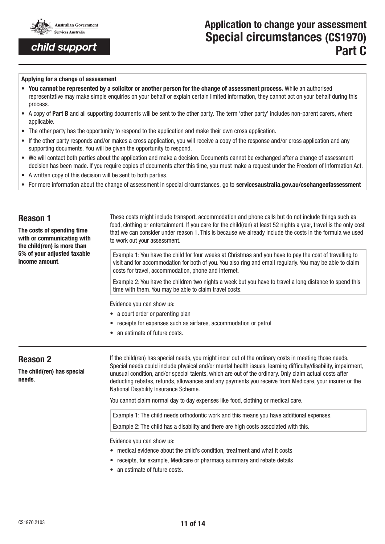

# **Application to change your assessment Special circumstances (CS1970) Part C**

#### **Applying for a change of assessment**

- **You cannot be represented by a solicitor or another person for the change of assessment process.** While an authorised representative may make simple enquiries on your behalf or explain certain limited information, they cannot act on your behalf during this process.
- A copy of **Part B** and all supporting documents will be sent to the other party. The term 'other party' includes non-parent carers, where applicable.
- The other party has the opportunity to respond to the application and make their own cross application.
- If the other party responds and/or makes a cross application, you will receive a copy of the response and/or cross application and any supporting documents. You will be given the opportunity to respond.
- We will contact both parties about the application and make a decision. Documents cannot be exchanged after a change of assessment decision has been made. If you require copies of documents after this time, you must make a request under the Freedom of Information Act.
- A written copy of this decision will be sent to both parties.
- For more information about the change of assessment in special circumstances, go to **servicesaustralia.gov.au/cschangeofassessment**

| <b>Reason 1</b><br>The costs of spending time<br>with or communicating with<br>the child(ren) is more than<br>5% of your adjusted taxable<br>income amount. | These costs might include transport, accommodation and phone calls but do not include things such as<br>food, clothing or entertainment. If you care for the child(ren) at least 52 nights a year, travel is the only cost<br>that we can consider under reason 1. This is because we already include the costs in the formula we used<br>to work out your assessment. |  |  |  |
|-------------------------------------------------------------------------------------------------------------------------------------------------------------|------------------------------------------------------------------------------------------------------------------------------------------------------------------------------------------------------------------------------------------------------------------------------------------------------------------------------------------------------------------------|--|--|--|
|                                                                                                                                                             | Example 1: You have the child for four weeks at Christmas and you have to pay the cost of travelling to<br>visit and for accommodation for both of you. You also ring and email regularly. You may be able to claim<br>costs for travel, accommodation, phone and internet.                                                                                            |  |  |  |
|                                                                                                                                                             | Example 2: You have the children two nights a week but you have to travel a long distance to spend this<br>time with them. You may be able to claim travel costs.                                                                                                                                                                                                      |  |  |  |
|                                                                                                                                                             | Evidence you can show us:                                                                                                                                                                                                                                                                                                                                              |  |  |  |
|                                                                                                                                                             | • a court order or parenting plan                                                                                                                                                                                                                                                                                                                                      |  |  |  |
|                                                                                                                                                             | receipts for expenses such as airfares, accommodation or petrol                                                                                                                                                                                                                                                                                                        |  |  |  |
|                                                                                                                                                             | an estimate of future costs.                                                                                                                                                                                                                                                                                                                                           |  |  |  |
|                                                                                                                                                             |                                                                                                                                                                                                                                                                                                                                                                        |  |  |  |

## **Reason 2**

**The child(ren) has special needs**.

If the child(ren) has special needs, you might incur out of the ordinary costs in meeting those needs. Special needs could include physical and/or mental health issues, learning difficulty/disability, impairment, unusual condition, and/or special talents, which are out of the ordinary. Only claim actual costs after deducting rebates, refunds, allowances and any payments you receive from Medicare, your insurer or the National Disability Insurance Scheme.

You cannot claim normal day to day expenses like food, clothing or medical care.

Example 1: The child needs orthodontic work and this means you have additional expenses.

Example 2: The child has a disability and there are high costs associated with this.

Evidence you can show us:

- medical evidence about the child's condition, treatment and what it costs
- receipts, for example, Medicare or pharmacy summary and rebate details
- an estimate of future costs.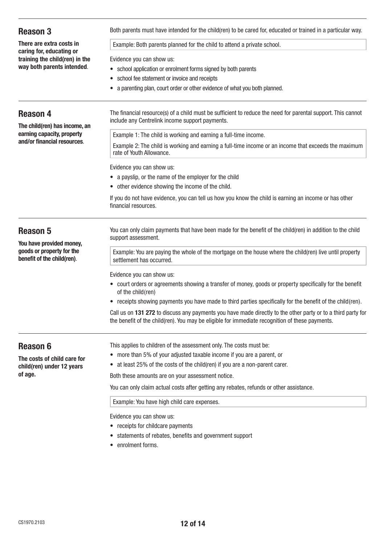| <b>Reason 3</b>                                                                     | Both parents must have intended for the child(ren) to be cared for, educated or trained in a particular way.                                                                                                    |  |  |
|-------------------------------------------------------------------------------------|-----------------------------------------------------------------------------------------------------------------------------------------------------------------------------------------------------------------|--|--|
| There are extra costs in                                                            | Example: Both parents planned for the child to attend a private school.                                                                                                                                         |  |  |
| caring for, educating or<br>training the child(ren) in the                          | Evidence you can show us:                                                                                                                                                                                       |  |  |
| way both parents intended.                                                          | • school application or enrolment forms signed by both parents                                                                                                                                                  |  |  |
|                                                                                     | • school fee statement or invoice and receipts                                                                                                                                                                  |  |  |
|                                                                                     | a parenting plan, court order or other evidence of what you both planned.                                                                                                                                       |  |  |
| <b>Reason 4</b><br>The child(ren) has income, an                                    | The financial resource(s) of a child must be sufficient to reduce the need for parental support. This cannot<br>include any Centrelink income support payments.                                                 |  |  |
| earning capacity, property                                                          | Example 1: The child is working and earning a full-time income.                                                                                                                                                 |  |  |
| and/or financial resources.                                                         | Example 2: The child is working and earning a full-time income or an income that exceeds the maximum<br>rate of Youth Allowance.                                                                                |  |  |
|                                                                                     | Evidence you can show us:                                                                                                                                                                                       |  |  |
|                                                                                     | • a payslip, or the name of the employer for the child                                                                                                                                                          |  |  |
|                                                                                     | • other evidence showing the income of the child.                                                                                                                                                               |  |  |
|                                                                                     | If you do not have evidence, you can tell us how you know the child is earning an income or has other<br>financial resources.                                                                                   |  |  |
| <b>Reason 5</b>                                                                     | You can only claim payments that have been made for the benefit of the child(ren) in addition to the child<br>support assessment.                                                                               |  |  |
| You have provided money,<br>goods or property for the<br>benefit of the child(ren). | Example: You are paying the whole of the mortgage on the house where the child(ren) live until property<br>settlement has occurred.                                                                             |  |  |
|                                                                                     |                                                                                                                                                                                                                 |  |  |
|                                                                                     | Evidence you can show us:<br>• court orders or agreements showing a transfer of money, goods or property specifically for the benefit<br>of the child(ren)                                                      |  |  |
|                                                                                     | • receipts showing payments you have made to third parties specifically for the benefit of the child (ren).                                                                                                     |  |  |
|                                                                                     | Call us on 131 272 to discuss any payments you have made directly to the other party or to a third party for<br>the benefit of the child(ren). You may be eligible for immediate recognition of these payments. |  |  |
| <b>Reason 6</b>                                                                     | This applies to children of the assessment only. The costs must be:                                                                                                                                             |  |  |
| The costs of child care for                                                         | • more than 5% of your adjusted taxable income if you are a parent, or                                                                                                                                          |  |  |
| child(ren) under 12 years                                                           | • at least 25% of the costs of the child(ren) if you are a non-parent carer.                                                                                                                                    |  |  |
| of age.                                                                             | Both these amounts are on your assessment notice.                                                                                                                                                               |  |  |
|                                                                                     | You can only claim actual costs after getting any rebates, refunds or other assistance.                                                                                                                         |  |  |
|                                                                                     | Example: You have high child care expenses.                                                                                                                                                                     |  |  |
|                                                                                     | Evidence you can show us:                                                                                                                                                                                       |  |  |
|                                                                                     | • receipts for childcare payments                                                                                                                                                                               |  |  |
|                                                                                     | • statements of rebates, benefits and government support                                                                                                                                                        |  |  |
|                                                                                     | • enrolment forms.                                                                                                                                                                                              |  |  |
|                                                                                     |                                                                                                                                                                                                                 |  |  |
|                                                                                     |                                                                                                                                                                                                                 |  |  |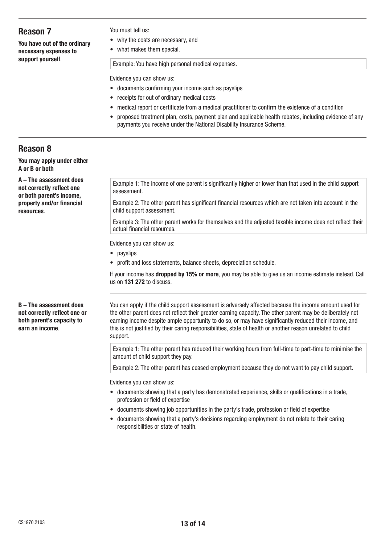## **Reason 7**

**You have out of the ordinary necessary expenses to support yourself**.

#### You must tell us:

- why the costs are necessary, and
- what makes them special.

Example: You have high personal medical expenses.

Evidence you can show us:

- documents confirming your income such as payslips
- receipts for out of ordinary medical costs
- medical report or certificate from a medical practitioner to confirm the existence of a condition
- proposed treatment plan, costs, payment plan and applicable health rebates, including evidence of any payments you receive under the National Disability Insurance Scheme.

## **Reason 8**

**You may apply under either A or B or both**

**A – The assessment does not correctly reflect one or both parent's income, property and/or financial resources**.

Example 1: The income of one parent is significantly higher or lower than that used in the child support assessment.

Example 2: The other parent has significant financial resources which are not taken into account in the child support assessment.

Example 3: The other parent works for themselves and the adjusted taxable income does not reflect their actual financial resources.

Evidence you can show us:

- payslips
- profit and loss statements, balance sheets, depreciation schedule.

If your income has **dropped by 15% or more**, you may be able to give us an income estimate instead. Call us on **131 272** to discuss.

You can apply if the child support assessment is adversely affected because the income amount used for the other parent does not reflect their greater earning capacity. The other parent may be deliberately not earning income despite ample opportunity to do so, or may have significantly reduced their income, and this is not justified by their caring responsibilities, state of health or another reason unrelated to child support.

Example 1: The other parent has reduced their working hours from full-time to part-time to minimise the amount of child support they pay.

Example 2: The other parent has ceased employment because they do not want to pay child support.

Evidence you can show us:

- documents showing that a party has demonstrated experience, skills or qualifications in a trade, profession or field of expertise
- documents showing job opportunities in the party's trade, profession or field of expertise
- documents showing that a party's decisions regarding employment do not relate to their caring responsibilities or state of health.

**B – The assessment does not correctly reflect one or both parent's capacity to earn an income**.